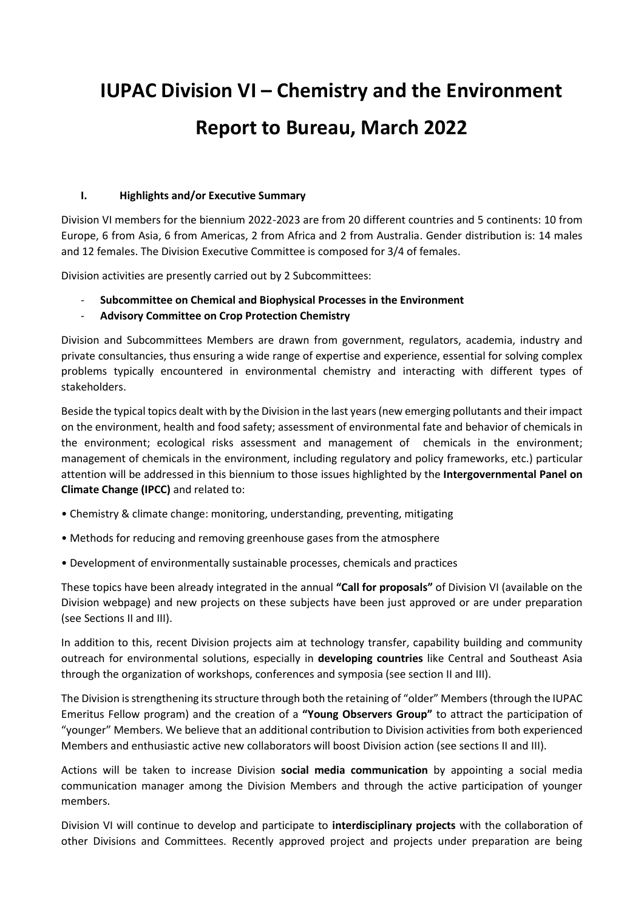# **IUPAC Division VI – Chemistry and the Environment Report to Bureau, March 2022**

#### **I. Highlights and/or Executive Summary**

Division VI members for the biennium 2022-2023 are from 20 different countries and 5 continents: 10 from Europe, 6 from Asia, 6 from Americas, 2 from Africa and 2 from Australia. Gender distribution is: 14 males and 12 females. The Division Executive Committee is composed for 3/4 of females.

Division activities are presently carried out by 2 Subcommittees:

- **Subcommittee on Chemical and Biophysical Processes in the Environment**
- **Advisory Committee on Crop Protection Chemistry**

Division and Subcommittees Members are drawn from government, regulators, academia, industry and private consultancies, thus ensuring a wide range of expertise and experience, essential for solving complex problems typically encountered in environmental chemistry and interacting with different types of stakeholders.

Beside the typical topics dealt with by the Division in the last years (new emerging pollutants and their impact on the environment, health and food safety; assessment of environmental fate and behavior of chemicals in the environment; ecological risks assessment and management of chemicals in the environment; management of chemicals in the environment, including regulatory and policy frameworks, etc.) particular attention will be addressed in this biennium to those issues highlighted by the **Intergovernmental Panel on Climate Change (IPCC)** and related to:

- Chemistry & climate change: monitoring, understanding, preventing, mitigating
- Methods for reducing and removing greenhouse gases from the atmosphere
- Development of environmentally sustainable processes, chemicals and practices

These topics have been already integrated in the annual **"Call for proposals"** of Division VI (available on the Division webpage) and new projects on these subjects have been just approved or are under preparation (see Sections II and III).

In addition to this, recent Division projects aim at technology transfer, capability building and community outreach for environmental solutions, especially in **developing countries** like Central and Southeast Asia through the organization of workshops, conferences and symposia (see section II and III).

The Division is strengthening its structure through both the retaining of "older" Members(through the IUPAC Emeritus Fellow program) and the creation of a **"Young Observers Group"** to attract the participation of "younger" Members. We believe that an additional contribution to Division activities from both experienced Members and enthusiastic active new collaborators will boost Division action (see sections II and III).

Actions will be taken to increase Division **social media communication** by appointing a social media communication manager among the Division Members and through the active participation of younger members.

Division VI will continue to develop and participate to **interdisciplinary projects** with the collaboration of other Divisions and Committees. Recently approved project and projects under preparation are being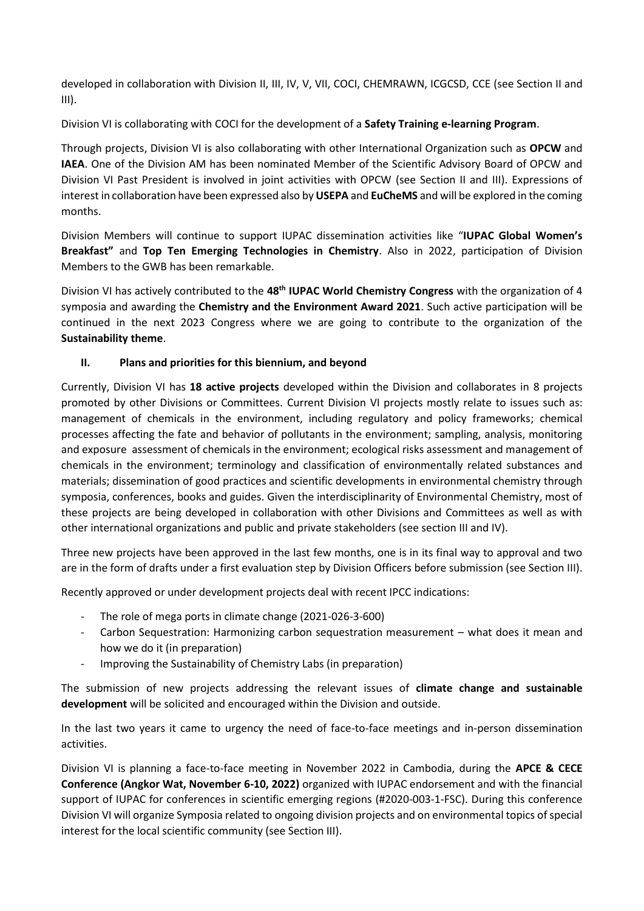developed in collaboration with Division II, III, IV, V, VII, COCI, CHEMRAWN, ICGCSD, CCE (see Section II and III).

Division VI is collaborating with COCI for the development of a **Safety Training e-learning Program**.

Through projects, Division VI is also collaborating with other International Organization such as **OPCW** and **IAEA**. One of the Division AM has been nominated Member of the Scientific Advisory Board of OPCW and Division VI Past President is involved in joint activities with OPCW (see Section II and III). Expressions of interest in collaboration have been expressed also by **USEPA** and **EuCheMS** and will be explored in the coming months.

Division Members will continue to support IUPAC dissemination activities like "**IUPAC Global Women's Breakfast"** and **Top Ten Emerging Technologies in Chemistry**. Also in 2022, participation of Division Members to the GWB has been remarkable.

Division VI has actively contributed to the **48th IUPAC World Chemistry Congress** with the organization of 4 symposia and awarding the **Chemistry and the Environment Award 2021**. Such active participation will be continued in the next 2023 Congress where we are going to contribute to the organization of the **Sustainability theme**.

# **II. Plans and priorities for this biennium, and beyond**

Currently, Division VI has **18 active projects** developed within the Division and collaborates in 8 projects promoted by other Divisions or Committees. Current Division VI projects mostly relate to issues such as: management of chemicals in the environment, including regulatory and policy frameworks; chemical processes affecting the fate and behavior of pollutants in the environment; sampling, analysis, monitoring and exposure assessment of chemicals in the environment; ecological risks assessment and management of chemicals in the environment; terminology and classification of environmentally related substances and materials; dissemination of good practices and scientific developments in environmental chemistry through symposia, conferences, books and guides. Given the interdisciplinarity of Environmental Chemistry, most of these projects are being developed in collaboration with other Divisions and Committees as well as with other international organizations and public and private stakeholders (see section III and IV).

Three new projects have been approved in the last few months, one is in its final way to approval and two are in the form of drafts under a first evaluation step by Division Officers before submission (see Section III).

Recently approved or under development projects deal with recent IPCC indications:

- The role of mega ports in climate change (2021-026-3-600)
- Carbon Sequestration: Harmonizing carbon sequestration measurement what does it mean and how we do it (in preparation)
- Improving the Sustainability of Chemistry Labs (in preparation)

The submission of new projects addressing the relevant issues of **climate change and sustainable development** will be solicited and encouraged within the Division and outside.

In the last two years it came to urgency the need of face-to-face meetings and in-person dissemination activities.

Division VI is planning a face-to-face meeting in November 2022 in Cambodia, during the **APCE & CECE Conference (Angkor Wat, November 6-10, 2022)** organized with IUPAC endorsement and with the financial support of IUPAC for conferences in scientific emerging regions (#2020-003-1-FSC). During this conference Division VI will organize Symposia related to ongoing division projects and on environmental topics of special interest for the local scientific community (see Section III).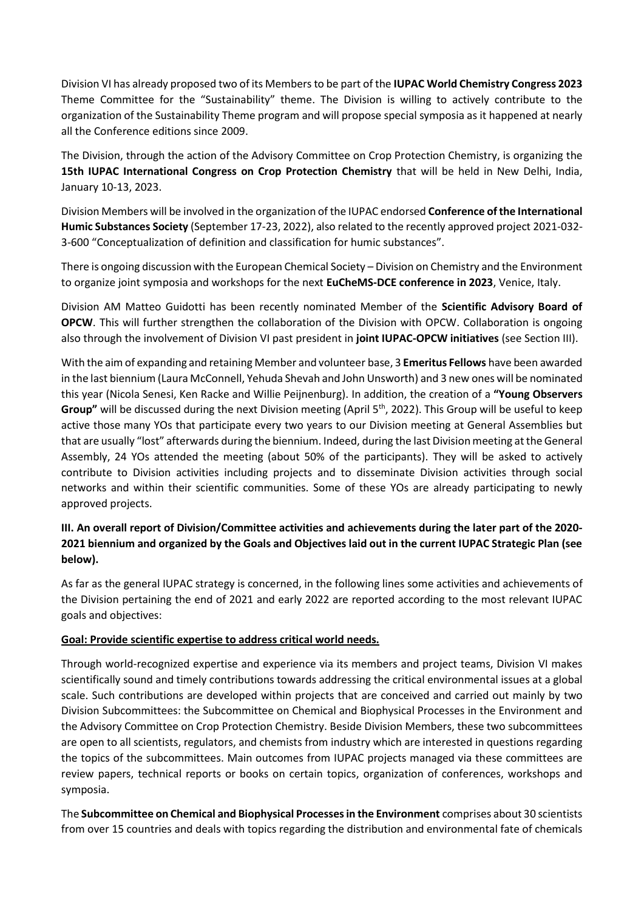Division VI has already proposed two of its Members to be part of the **IUPAC World Chemistry Congress 2023** Theme Committee for the "Sustainability" theme. The Division is willing to actively contribute to the organization of the Sustainability Theme program and will propose special symposia as it happened at nearly all the Conference editions since 2009.

The Division, through the action of the Advisory Committee on Crop Protection Chemistry, is organizing the **15th IUPAC International Congress on Crop Protection Chemistry** that will be held in New Delhi, India, January 10-13, 2023.

Division Members will be involved in the organization of the IUPAC endorsed **Conference of the International Humic Substances Society** (September 17-23, 2022), also related to the recently approved project 2021-032- 3-600 "Conceptualization of definition and classification for humic substances".

There is ongoing discussion with the European Chemical Society – Division on Chemistry and the Environment to organize joint symposia and workshops for the next **EuCheMS-DCE conference in 2023**, Venice, Italy.

Division AM Matteo Guidotti has been recently nominated Member of the **Scientific Advisory Board of OPCW**. This will further strengthen the collaboration of the Division with OPCW. Collaboration is ongoing also through the involvement of Division VI past president in **joint IUPAC-OPCW initiatives** (see Section III).

With the aim of expanding and retaining Member and volunteer base, 3 **Emeritus Fellows** have been awarded in the last biennium (Laura McConnell, Yehuda Shevah and John Unsworth) and 3 new ones will be nominated this year (Nicola Senesi, Ken Racke and Willie Peijnenburg). In addition, the creation of a **"Young Observers** Group" will be discussed during the next Division meeting (April 5<sup>th</sup>, 2022). This Group will be useful to keep active those many YOs that participate every two years to our Division meeting at General Assemblies but that are usually "lost" afterwards during the biennium. Indeed, during the last Division meeting at the General Assembly, 24 YOs attended the meeting (about 50% of the participants). They will be asked to actively contribute to Division activities including projects and to disseminate Division activities through social networks and within their scientific communities. Some of these YOs are already participating to newly approved projects.

# **III. An overall report of Division/Committee activities and achievements during the later part of the 2020- 2021 biennium and organized by the Goals and Objectives laid out in the current IUPAC Strategic Plan (see below).**

As far as the general IUPAC strategy is concerned, in the following lines some activities and achievements of the Division pertaining the end of 2021 and early 2022 are reported according to the most relevant IUPAC goals and objectives:

# **Goal: Provide scientific expertise to address critical world needs.**

Through world-recognized expertise and experience via its members and project teams, Division VI makes scientifically sound and timely contributions towards addressing the critical environmental issues at a global scale. Such contributions are developed within projects that are conceived and carried out mainly by two Division Subcommittees: the Subcommittee on Chemical and Biophysical Processes in the Environment and the Advisory Committee on Crop Protection Chemistry. Beside Division Members, these two subcommittees are open to all scientists, regulators, and chemists from industry which are interested in questions regarding the topics of the subcommittees. Main outcomes from IUPAC projects managed via these committees are review papers, technical reports or books on certain topics, organization of conferences, workshops and symposia.

The **Subcommittee on Chemical and Biophysical Processes in the Environment** comprises about 30 scientists from over 15 countries and deals with topics regarding the distribution and environmental fate of chemicals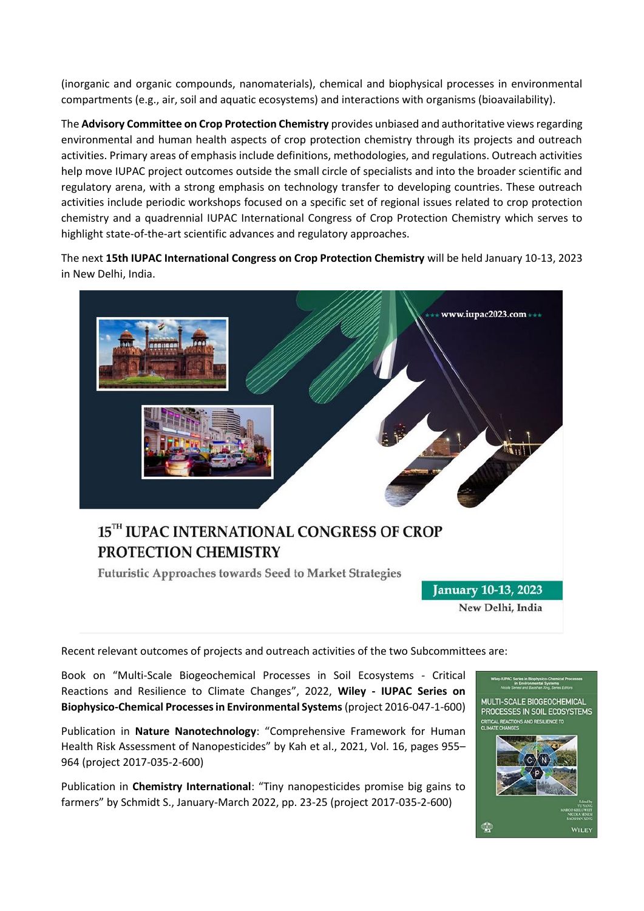(inorganic and organic compounds, nanomaterials), chemical and biophysical processes in environmental compartments (e.g., air, soil and aquatic ecosystems) and interactions with organisms (bioavailability).

The **Advisory Committee on Crop Protection Chemistry** provides unbiased and authoritative views regarding environmental and human health aspects of crop protection chemistry through its projects and outreach activities. Primary areas of emphasis include definitions, methodologies, and regulations. Outreach activities help move IUPAC project outcomes outside the small circle of specialists and into the broader scientific and regulatory arena, with a strong emphasis on technology transfer to developing countries. These outreach activities include periodic workshops focused on a specific set of regional issues related to crop protection chemistry and a quadrennial IUPAC International Congress of Crop Protection Chemistry which serves to highlight state-of-the-art scientific advances and regulatory approaches.

The next **15th IUPAC International Congress on Crop Protection Chemistry** will be held January 10-13, 2023 in New Delhi, India.



# 15TH IUPAC INTERNATIONAL CONGRESS OF CROP PROTECTION CHEMISTRY

**Futuristic Approaches towards Seed to Market Strategies** 

**January 10-13, 2023** New Delhi, India

Recent relevant outcomes of projects and outreach activities of the two Subcommittees are:

Book on "Multi-Scale Biogeochemical Processes in Soil Ecosystems - Critical Reactions and Resilience to Climate Changes", 2022, **Wiley - IUPAC Series on Biophysico-Chemical Processes in Environmental Systems**(project 2016-047-1-600)

Publication in **Nature Nanotechnology**: "Comprehensive Framework for Human Health Risk Assessment of Nanopesticides" by Kah et al., 2021, Vol. 16, pages 955– 964 (project 2017-035-2-600)

Publication in **Chemistry International**: "Tiny nanopesticides promise big gains to farmers" by Schmidt S., January-March 2022, pp. 23-25 (project 2017-035-2-600)

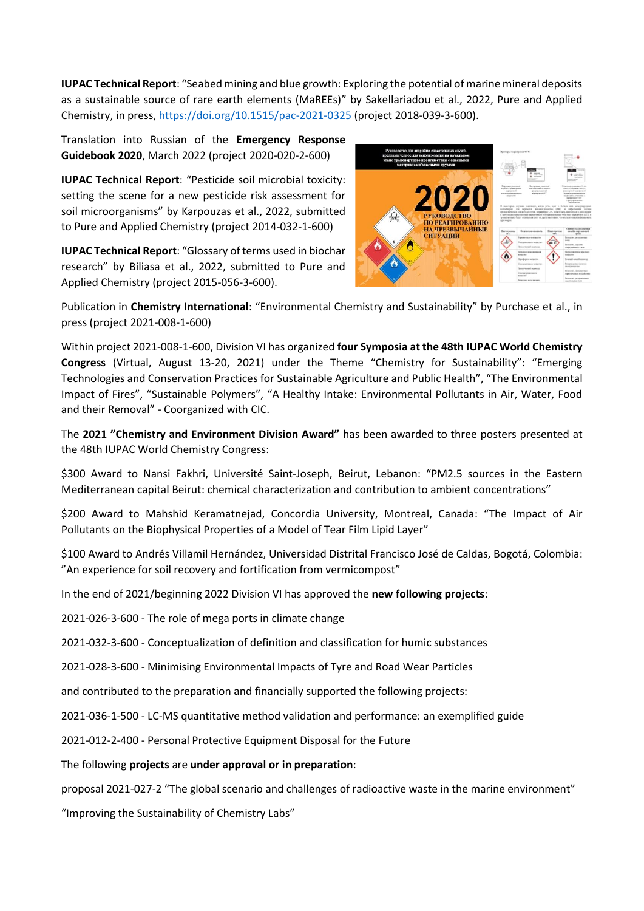**IUPAC Technical Report**: "Seabed mining and blue growth: Exploring the potential of marine mineral deposits as a sustainable source of rare earth elements (MaREEs)" by Sakellariadou et al., 2022, Pure and Applied Chemistry, in press,<https://doi.org/10.1515/pac-2021-0325> (project 2018-039-3-600).

Translation into Russian of the **Emergency Response Guidebook 2020**, March 2022 (project 2020-020-2-600)

**IUPAC Technical Report**: "Pesticide soil microbial toxicity: setting the scene for a new pesticide risk assessment for soil microorganisms" by Karpouzas et al., 2022, submitted to Pure and Applied Chemistry (project 2014-032-1-600)

**IUPAC Technical Report**: "Glossary of terms used in biochar research" by Biliasa et al., 2022, submitted to Pure and Applied Chemistry (project 2015-056-3-600).



Publication in **Chemistry International**: "Environmental Chemistry and Sustainability" by Purchase et al., in press (project 2021-008-1-600)

Within project 2021-008-1-600, Division VI has organized **four Symposia at the 48th IUPAC World Chemistry Congress** (Virtual, August 13-20, 2021) under the Theme "Chemistry for Sustainability": "Emerging Technologies and Conservation Practices for Sustainable Agriculture and Public Health", "The Environmental Impact of Fires", "Sustainable Polymers", "A Healthy Intake: Environmental Pollutants in Air, Water, Food and their Removal" - Coorganized with CIC.

The **2021 "Chemistry and Environment Division Award"** has been awarded to three posters presented at the 48th IUPAC World Chemistry Congress:

\$300 Award to Nansi Fakhri, Université Saint-Joseph, Beirut, Lebanon: "PM2.5 sources in the Eastern Mediterranean capital Beirut: chemical characterization and contribution to ambient concentrations"

\$200 Award to Mahshid Keramatnejad, Concordia University, Montreal, Canada: "The Impact of Air Pollutants on the Biophysical Properties of a Model of Tear Film Lipid Layer"

\$100 Award to Andrés Villamil Hernández, Universidad Distrital Francisco José de Caldas, Bogotá, Colombia: "An experience for soil recovery and fortification from vermicompost"

In the end of 2021/beginning 2022 Division VI has approved the **new following projects**:

2021-026-3-600 - The role of mega ports in climate change

2021-032-3-600 - Conceptualization of definition and classification for humic substances

2021-028-3-600 - Minimising Environmental Impacts of Tyre and Road Wear Particles

and contributed to the preparation and financially supported the following projects:

2021-036-1-500 - LC-MS quantitative method validation and performance: an exemplified guide

2021-012-2-400 - Personal Protective Equipment Disposal for the Future

The following **projects** are **under approval or in preparation**:

proposal 2021-027-2 "The global scenario and challenges of radioactive waste in the marine environment"

"Improving the Sustainability of Chemistry Labs"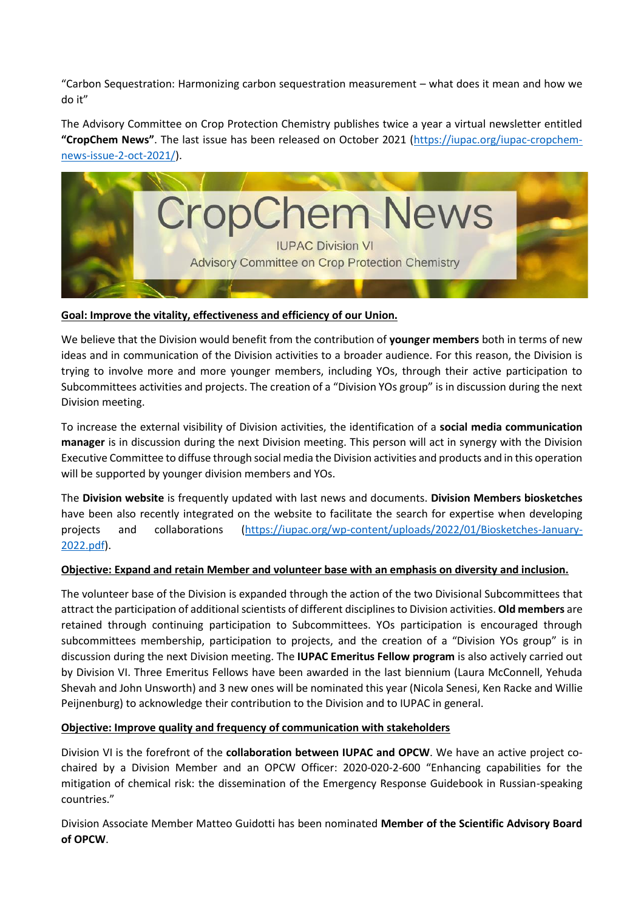"Carbon Sequestration: Harmonizing carbon sequestration measurement – what does it mean and how we do it"

The Advisory Committee on Crop Protection Chemistry publishes twice a year a virtual newsletter entitled **"CropChem News"**. The last issue has been released on October 2021 [\(https://iupac.org/iupac-cropchem](https://iupac.org/iupac-cropchem-news-issue-2-oct-2021/)[news-issue-2-oct-2021/\)](https://iupac.org/iupac-cropchem-news-issue-2-oct-2021/).



#### **Goal: Improve the vitality, effectiveness and efficiency of our Union.**

We believe that the Division would benefit from the contribution of **younger members** both in terms of new ideas and in communication of the Division activities to a broader audience. For this reason, the Division is trying to involve more and more younger members, including YOs, through their active participation to Subcommittees activities and projects. The creation of a "Division YOs group" is in discussion during the next Division meeting.

To increase the external visibility of Division activities, the identification of a **social media communication manager** is in discussion during the next Division meeting. This person will act in synergy with the Division Executive Committee to diffuse through social media the Division activities and products and in this operation will be supported by younger division members and YOs.

The **Division website** is frequently updated with last news and documents. **Division Members biosketches** have been also recently integrated on the website to facilitate the search for expertise when developing projects and collaborations [\(https://iupac.org/wp-content/uploads/2022/01/Biosketches-January-](https://iupac.org/wp-content/uploads/2022/01/Biosketches-January-2022.pdf)[2022.pdf\)](https://iupac.org/wp-content/uploads/2022/01/Biosketches-January-2022.pdf).

#### **Objective: Expand and retain Member and volunteer base with an emphasis on diversity and inclusion.**

The volunteer base of the Division is expanded through the action of the two Divisional Subcommittees that attract the participation of additional scientists of different disciplines to Division activities. **Old members** are retained through continuing participation to Subcommittees. YOs participation is encouraged through subcommittees membership, participation to projects, and the creation of a "Division YOs group" is in discussion during the next Division meeting. The **IUPAC Emeritus Fellow program** is also actively carried out by Division VI. Three Emeritus Fellows have been awarded in the last biennium (Laura McConnell, Yehuda Shevah and John Unsworth) and 3 new ones will be nominated this year (Nicola Senesi, Ken Racke and Willie Peijnenburg) to acknowledge their contribution to the Division and to IUPAC in general.

#### **Objective: Improve quality and frequency of communication with stakeholders**

Division VI is the forefront of the **collaboration between IUPAC and OPCW**. We have an active project cochaired by a Division Member and an OPCW Officer: 2020-020-2-600 "Enhancing capabilities for the mitigation of chemical risk: the dissemination of the Emergency Response Guidebook in Russian-speaking countries."

Division Associate Member Matteo Guidotti has been nominated **Member of the Scientific Advisory Board of OPCW**.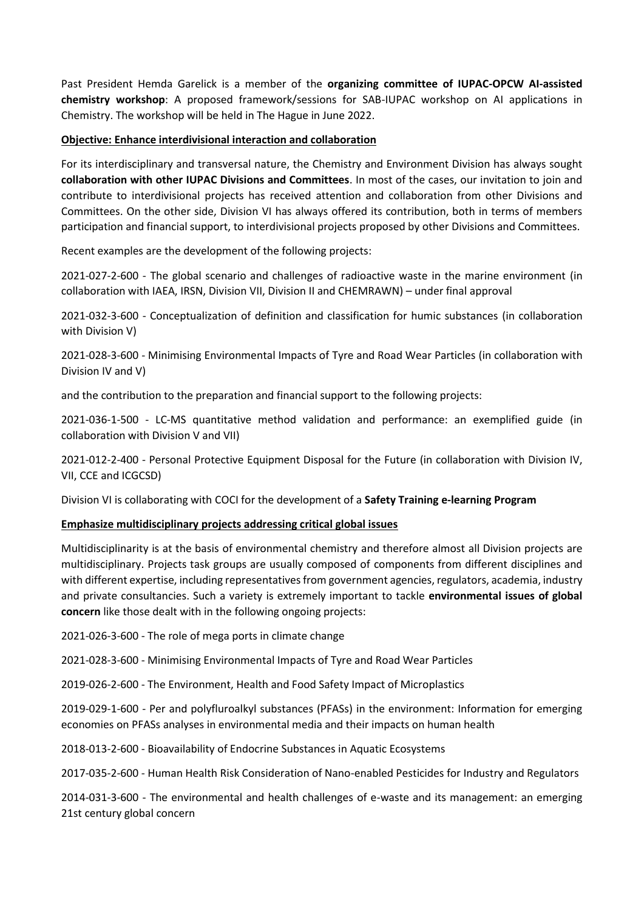Past President Hemda Garelick is a member of the **organizing committee of IUPAC-OPCW AI-assisted chemistry workshop**: A proposed framework/sessions for SAB-IUPAC workshop on AI applications in Chemistry. The workshop will be held in The Hague in June 2022.

#### **Objective: Enhance interdivisional interaction and collaboration**

For its interdisciplinary and transversal nature, the Chemistry and Environment Division has always sought **collaboration with other IUPAC Divisions and Committees**. In most of the cases, our invitation to join and contribute to interdivisional projects has received attention and collaboration from other Divisions and Committees. On the other side, Division VI has always offered its contribution, both in terms of members participation and financial support, to interdivisional projects proposed by other Divisions and Committees.

Recent examples are the development of the following projects:

2021-027-2-600 - The global scenario and challenges of radioactive waste in the marine environment (in collaboration with IAEA, IRSN, Division VII, Division II and CHEMRAWN) – under final approval

2021-032-3-600 - Conceptualization of definition and classification for humic substances (in collaboration with Division V)

2021-028-3-600 - Minimising Environmental Impacts of Tyre and Road Wear Particles (in collaboration with Division IV and V)

and the contribution to the preparation and financial support to the following projects:

2021-036-1-500 - LC-MS quantitative method validation and performance: an exemplified guide (in collaboration with Division V and VII)

2021-012-2-400 - Personal Protective Equipment Disposal for the Future (in collaboration with Division IV, VII, CCE and ICGCSD)

Division VI is collaborating with COCI for the development of a **Safety Training e-learning Program**

# **Emphasize multidisciplinary projects addressing critical global issues**

Multidisciplinarity is at the basis of environmental chemistry and therefore almost all Division projects are multidisciplinary. Projects task groups are usually composed of components from different disciplines and with different expertise, including representatives from government agencies, regulators, academia, industry and private consultancies. Such a variety is extremely important to tackle **environmental issues of global concern** like those dealt with in the following ongoing projects:

2021-026-3-600 - The role of mega ports in climate change

2021-028-3-600 - Minimising Environmental Impacts of Tyre and Road Wear Particles

2019-026-2-600 - The Environment, Health and Food Safety Impact of Microplastics

2019-029-1-600 - Per and polyfluroalkyl substances (PFASs) in the environment: Information for emerging economies on PFASs analyses in environmental media and their impacts on human health

2018-013-2-600 - Bioavailability of Endocrine Substances in Aquatic Ecosystems

2017-035-2-600 - Human Health Risk Consideration of Nano-enabled Pesticides for Industry and Regulators

2014-031-3-600 - The environmental and health challenges of e-waste and its management: an emerging 21st century global concern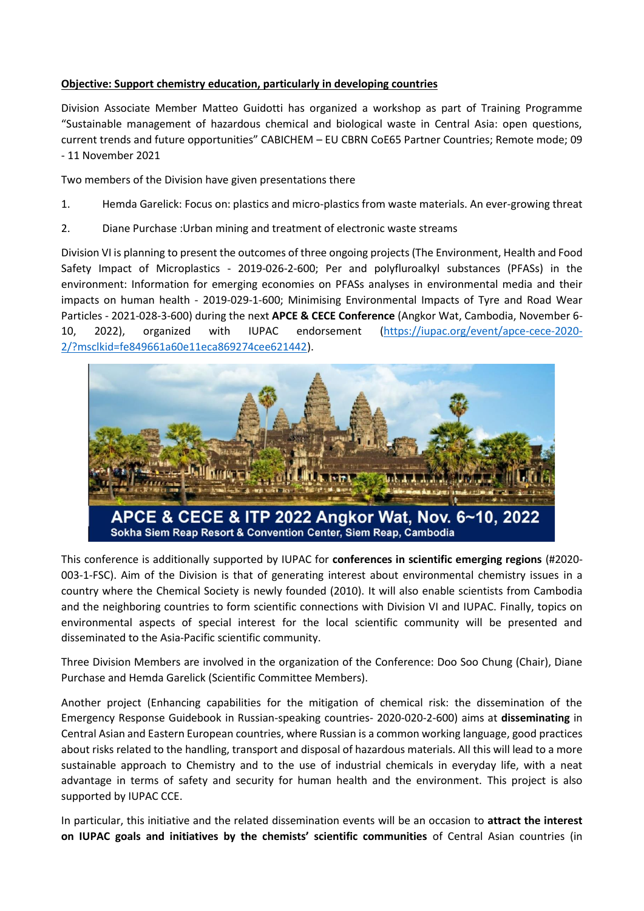# **Objective: Support chemistry education, particularly in developing countries**

Division Associate Member Matteo Guidotti has organized a workshop as part of Training Programme "Sustainable management of hazardous chemical and biological waste in Central Asia: open questions, current trends and future opportunities" CABICHEM – EU CBRN CoE65 Partner Countries; Remote mode; 09 - 11 November 2021

Two members of the Division have given presentations there

- 1. Hemda Garelick: Focus on: plastics and micro-plastics from waste materials. An ever-growing threat
- 2. Diane Purchase :Urban mining and treatment of electronic waste streams

Division VI is planning to present the outcomes of three ongoing projects (The Environment, Health and Food Safety Impact of Microplastics - 2019-026-2-600; Per and polyfluroalkyl substances (PFASs) in the environment: Information for emerging economies on PFASs analyses in environmental media and their impacts on human health - 2019-029-1-600; Minimising Environmental Impacts of Tyre and Road Wear Particles - 2021-028-3-600) during the next **APCE & CECE Conference** (Angkor Wat, Cambodia, November 6- 10, 2022), organized with IUPAC endorsement [\(https://iupac.org/event/apce-cece-2020-](https://iupac.org/event/apce-cece-2020-2/?msclkid=fe849661a60e11eca869274cee621442) [2/?msclkid=fe849661a60e11eca869274cee621442\)](https://iupac.org/event/apce-cece-2020-2/?msclkid=fe849661a60e11eca869274cee621442).



This conference is additionally supported by IUPAC for **conferences in scientific emerging regions** (#2020- 003-1-FSC). Aim of the Division is that of generating interest about environmental chemistry issues in a country where the Chemical Society is newly founded (2010). It will also enable scientists from Cambodia and the neighboring countries to form scientific connections with Division VI and IUPAC. Finally, topics on environmental aspects of special interest for the local scientific community will be presented and disseminated to the Asia-Pacific scientific community.

Three Division Members are involved in the organization of the Conference: Doo Soo Chung (Chair), Diane Purchase and Hemda Garelick (Scientific Committee Members).

Another project (Enhancing capabilities for the mitigation of chemical risk: the dissemination of the Emergency Response Guidebook in Russian-speaking countries- 2020-020-2-600) aims at **disseminating** in Central Asian and Eastern European countries, where Russian is a common working language, good practices about risks related to the handling, transport and disposal of hazardous materials. All this will lead to a more sustainable approach to Chemistry and to the use of industrial chemicals in everyday life, with a neat advantage in terms of safety and security for human health and the environment. This project is also supported by IUPAC CCE.

In particular, this initiative and the related dissemination events will be an occasion to **attract the interest on IUPAC goals and initiatives by the chemists' scientific communities** of Central Asian countries (in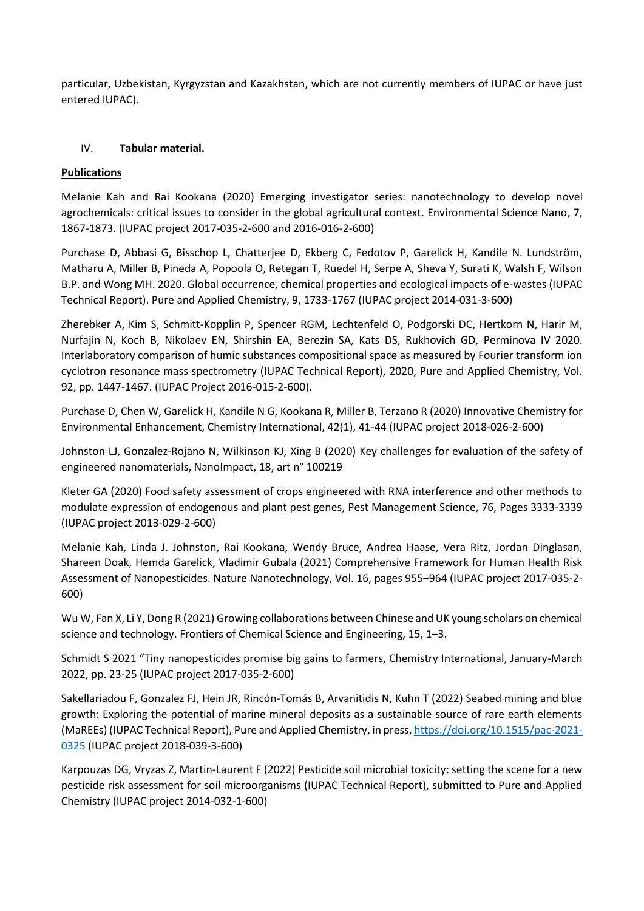particular, Uzbekistan, Kyrgyzstan and Kazakhstan, which are not currently members of IUPAC or have just entered IUPAC).

# IV. **Tabular material.**

# **Publications**

Melanie Kah and Rai Kookana (2020) Emerging investigator series: nanotechnology to develop novel agrochemicals: critical issues to consider in the global agricultural context. Environmental Science Nano, 7, 1867-1873. (IUPAC project 2017-035-2-600 and 2016-016-2-600)

Purchase D, Abbasi G, Bisschop L, Chatterjee D, Ekberg C, Fedotov P, Garelick H, Kandile N. Lundström, Matharu A, Miller B, Pineda A, Popoola O, Retegan T, Ruedel H, Serpe A, Sheva Y, Surati K, Walsh F, Wilson B.P. and Wong MH. 2020. Global occurrence, chemical properties and ecological impacts of e-wastes (IUPAC Technical Report). Pure and Applied Chemistry, 9, 1733-1767 (IUPAC project 2014-031-3-600)

Zherebker A, Kim S, Schmitt-Kopplin P, Spencer RGM, Lechtenfeld O, Podgorski DC, Hertkorn N, Harir M, Nurfajin N, Koch B, Nikolaev EN, Shirshin EA, Berezin SA, Kats DS, Rukhovich GD, Perminova IV 2020. Interlaboratory comparison of humic substances compositional space as measured by Fourier transform ion cyclotron resonance mass spectrometry (IUPAC Technical Report), 2020, Pure and Applied Chemistry, Vol. 92, pp. 1447-1467. (IUPAC Project 2016-015-2-600).

Purchase D, Chen W, Garelick H, Kandile N G, Kookana R, Miller B, Terzano R (2020) Innovative Chemistry for Environmental Enhancement, Chemistry International, 42(1), 41-44 (IUPAC project 2018-026-2-600)

Johnston LJ, Gonzalez-Rojano N, Wilkinson KJ, Xing B (2020) Key challenges for evaluation of the safety of engineered nanomaterials, NanoImpact, 18, art n° 100219

Kleter GA (2020) Food safety assessment of crops engineered with RNA interference and other methods to modulate expression of endogenous and plant pest genes, Pest Management Science, 76, Pages 3333-3339 (IUPAC project 2013-029-2-600)

Melanie Kah, Linda J. Johnston, Rai Kookana, Wendy Bruce, Andrea Haase, Vera Ritz, Jordan Dinglasan, Shareen Doak, Hemda Garelick, Vladimir Gubala (2021) Comprehensive Framework for Human Health Risk Assessment of Nanopesticides. Nature Nanotechnology, Vol. 16, pages 955–964 (IUPAC project 2017-035-2- 600)

Wu W, Fan X, Li Y, Dong R (2021) Growing collaborations between Chinese and UK young scholars on chemical science and technology. Frontiers of Chemical Science and Engineering, 15, 1–3.

Schmidt S 2021 "Tiny nanopesticides promise big gains to farmers, Chemistry International, January-March 2022, pp. 23-25 (IUPAC project 2017-035-2-600)

Sakellariadou F, Gonzalez FJ, Hein JR, Rincón-Tomás B, Arvanitidis N, Kuhn T (2022) Seabed mining and blue growth: Exploring the potential of marine mineral deposits as a sustainable source of rare earth elements (MaREEs) (IUPAC Technical Report), Pure and Applied Chemistry, in press[, https://doi.org/10.1515/pac-2021-](https://doi.org/10.1515/pac-2021-0325) [0325](https://doi.org/10.1515/pac-2021-0325) (IUPAC project 2018-039-3-600)

Karpouzas DG, Vryzas Z, Martin-Laurent F (2022) Pesticide soil microbial toxicity: setting the scene for a new pesticide risk assessment for soil microorganisms (IUPAC Technical Report), submitted to Pure and Applied Chemistry (IUPAC project 2014-032-1-600)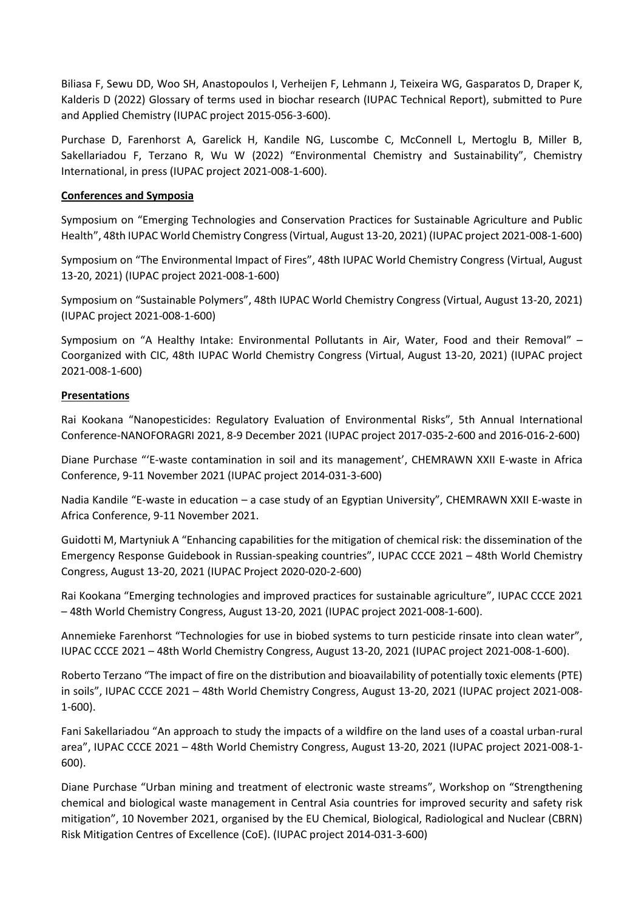Biliasa F, Sewu DD, Woo SH, Anastopoulos I, Verheijen F, Lehmann J, Teixeira WG, Gasparatos D, Draper K, Kalderis D (2022) Glossary of terms used in biochar research (IUPAC Technical Report), submitted to Pure and Applied Chemistry (IUPAC project 2015-056-3-600).

Purchase D, Farenhorst A, Garelick H, Kandile NG, Luscombe C, McConnell L, Mertoglu B, Miller B, Sakellariadou F, Terzano R, Wu W (2022) "Environmental Chemistry and Sustainability", Chemistry International, in press (IUPAC project 2021-008-1-600).

#### **Conferences and Symposia**

Symposium on "Emerging Technologies and Conservation Practices for Sustainable Agriculture and Public Health", 48th IUPAC World Chemistry Congress (Virtual, August 13-20, 2021) (IUPAC project 2021-008-1-600)

Symposium on "The Environmental Impact of Fires", 48th IUPAC World Chemistry Congress (Virtual, August 13-20, 2021) (IUPAC project 2021-008-1-600)

Symposium on "Sustainable Polymers", 48th IUPAC World Chemistry Congress (Virtual, August 13-20, 2021) (IUPAC project 2021-008-1-600)

Symposium on "A Healthy Intake: Environmental Pollutants in Air, Water, Food and their Removal" – Coorganized with CIC, 48th IUPAC World Chemistry Congress (Virtual, August 13-20, 2021) (IUPAC project 2021-008-1-600)

#### **Presentations**

Rai Kookana "Nanopesticides: Regulatory Evaluation of Environmental Risks", 5th Annual International Conference-NANOFORAGRI 2021, 8-9 December 2021 (IUPAC project 2017-035-2-600 and 2016-016-2-600)

Diane Purchase "'E-waste contamination in soil and its management', CHEMRAWN XXII E-waste in Africa Conference, 9-11 November 2021 (IUPAC project 2014-031-3-600)

Nadia Kandile "E-waste in education – a case study of an Egyptian University", CHEMRAWN XXII E-waste in Africa Conference, 9-11 November 2021.

Guidotti M, Martyniuk A "Enhancing capabilities for the mitigation of chemical risk: the dissemination of the Emergency Response Guidebook in Russian-speaking countries", IUPAC CCCE 2021 – 48th World Chemistry Congress, August 13-20, 2021 (IUPAC Project 2020-020-2-600)

Rai Kookana "Emerging technologies and improved practices for sustainable agriculture", IUPAC CCCE 2021 – 48th World Chemistry Congress, August 13-20, 2021 (IUPAC project 2021-008-1-600).

Annemieke Farenhorst "Technologies for use in biobed systems to turn pesticide rinsate into clean water", IUPAC CCCE 2021 – 48th World Chemistry Congress, August 13-20, 2021 (IUPAC project 2021-008-1-600).

Roberto Terzano "The impact of fire on the distribution and bioavailability of potentially toxic elements (PTE) in soils", IUPAC CCCE 2021 – 48th World Chemistry Congress, August 13-20, 2021 (IUPAC project 2021-008- 1-600).

Fani Sakellariadou "An approach to study the impacts of a wildfire on the land uses of a coastal urban-rural area", IUPAC CCCE 2021 – 48th World Chemistry Congress, August 13-20, 2021 (IUPAC project 2021-008-1- 600).

Diane Purchase "Urban mining and treatment of electronic waste streams", Workshop on "Strengthening chemical and biological waste management in Central Asia countries for improved security and safety risk mitigation", 10 November 2021, organised by the EU Chemical, Biological, Radiological and Nuclear (CBRN) Risk Mitigation Centres of Excellence (CoE). (IUPAC project 2014-031-3-600)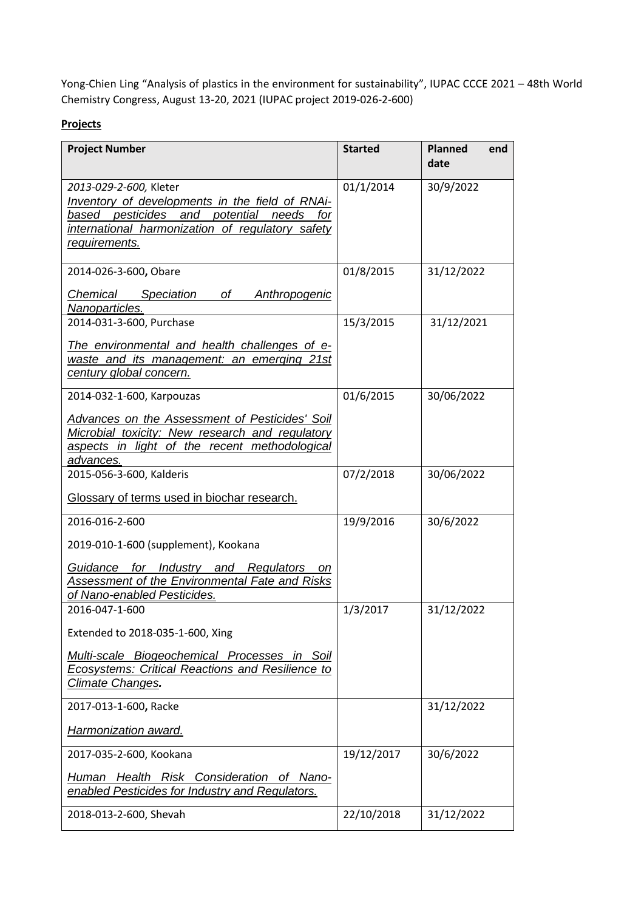Yong-Chien Ling "Analysis of plastics in the environment for sustainability", IUPAC CCCE 2021 – 48th World Chemistry Congress, August 13-20, 2021 (IUPAC project 2019-026-2-600)

# **Projects**

| <b>Project Number</b>                                                                                                                                                                            | <b>Started</b> | <b>Planned</b><br>end<br>date |
|--------------------------------------------------------------------------------------------------------------------------------------------------------------------------------------------------|----------------|-------------------------------|
| 2013-029-2-600, Kleter<br>Inventory of developments in the field of RNAi-<br>pesticides and potential needs<br>based<br>for<br>international harmonization of regulatory safety<br>requirements. | 01/1/2014      | 30/9/2022                     |
| 2014-026-3-600, Obare<br>Chemical<br>Speciation<br>оf<br>Anthropogenic                                                                                                                           | 01/8/2015      | 31/12/2022                    |
| Nanoparticles.<br>2014-031-3-600, Purchase                                                                                                                                                       | 15/3/2015      | 31/12/2021                    |
| The environmental and health challenges of e-<br>waste and its management: an emerging 21st<br>century global concern.                                                                           |                |                               |
| 2014-032-1-600, Karpouzas                                                                                                                                                                        | 01/6/2015      | 30/06/2022                    |
| <b>Advances on the Assessment of Pesticides' Soil</b><br>Microbial toxicity: New research and regulatory<br>aspects in light of the recent methodological<br>advances.                           |                |                               |
| 2015-056-3-600, Kalderis                                                                                                                                                                         | 07/2/2018      | 30/06/2022                    |
| Glossary of terms used in biochar research.                                                                                                                                                      |                |                               |
| 2016-016-2-600                                                                                                                                                                                   | 19/9/2016      | 30/6/2022                     |
| 2019-010-1-600 (supplement), Kookana                                                                                                                                                             |                |                               |
| Guidance for Industry and Regulators<br>on<br>Assessment of the Environmental Fate and Risks<br>of Nano-enabled Pesticides.                                                                      |                |                               |
| 2016-047-1-600                                                                                                                                                                                   | 1/3/2017       | 31/12/2022                    |
| Extended to 2018-035-1-600, Xing                                                                                                                                                                 |                |                               |
| Multi-scale Biogeochemical Processes in Soil<br><b>Ecosystems: Critical Reactions and Resilience to</b><br>Climate Changes.                                                                      |                |                               |
| 2017-013-1-600, Racke                                                                                                                                                                            |                | 31/12/2022                    |
| <b>Harmonization award.</b>                                                                                                                                                                      |                |                               |
| 2017-035-2-600, Kookana                                                                                                                                                                          | 19/12/2017     | 30/6/2022                     |
| Human Health Risk Consideration of Nano-<br>enabled Pesticides for Industry and Regulators.                                                                                                      |                |                               |
| 2018-013-2-600, Shevah                                                                                                                                                                           | 22/10/2018     | 31/12/2022                    |